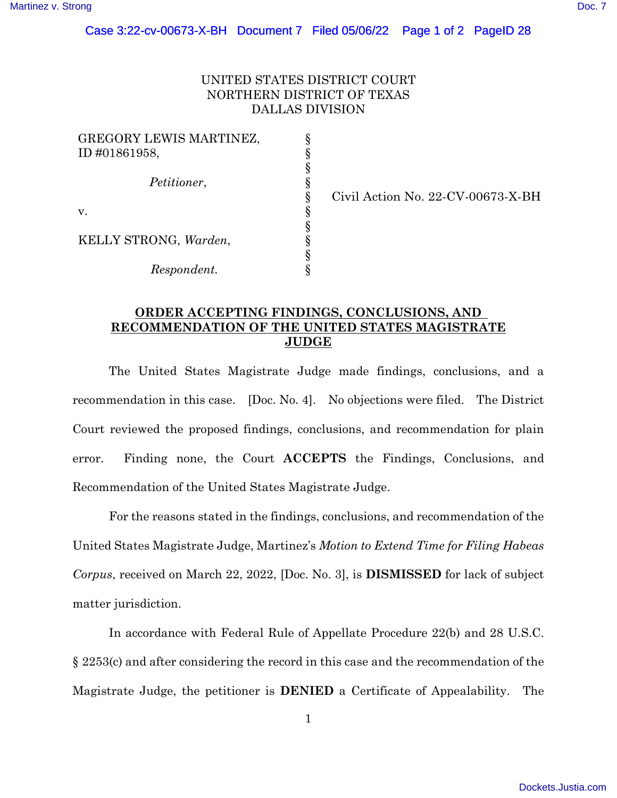## UNITED STATES DISTRICT COURT NORTHERN DISTRICT OF TEXAS DALLAS DIVISION

§ § § § § § § § § §

| GREGORY LEWIS MARTINEZ,<br>ID #01861958, |
|------------------------------------------|
| <i>Petitioner,</i>                       |
| V.                                       |
| KELLY STRONG, Warden,                    |
| Respondent.                              |

Civil Action No. 22-CV-00673-X-BH

## **ORDER ACCEPTING FINDINGS, CONCLUSIONS, AND RECOMMENDATION OF THE UNITED STATES MAGISTRATE JUDGE**

The United States Magistrate Judge made findings, conclusions, and a recommendation in this case. [Doc. No. 4]. No objections were filed. The District Court reviewed the proposed findings, conclusions, and recommendation for plain error. Finding none, the Court **ACCEPTS** the Findings, Conclusions, and Recommendation of the United States Magistrate Judge.

For the reasons stated in the findings, conclusions, and recommendation of the United States Magistrate Judge, Martinez's *Motion to Extend Time for Filing Habeas Corpus*, received on March 22, 2022, [Doc. No. 3], is **DISMISSED** for lack of subject matter jurisdiction.

In accordance with Federal Rule of Appellate Procedure 22(b) and 28 U.S.C. § 2253(c) and after considering the record in this case and the recommendation of the Magistrate Judge, the petitioner is **DENIED** a Certificate of Appealability. The